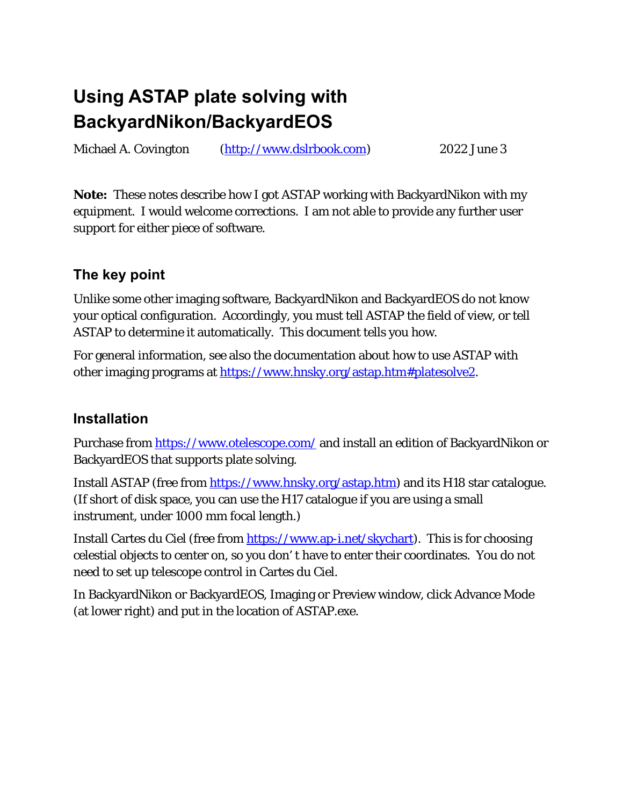# **Using ASTAP plate solving with BackyardNikon/BackyardEOS**

Michael A. Covington (http://www.dslrbook.com) 2022 June 3

**Note:** These notes describe how I got ASTAP working with BackyardNikon with my equipment. I would welcome corrections. I am not able to provide any further user support for either piece of software.

# **The key point**

Unlike some other imaging software, BackyardNikon and BackyardEOS do not know your optical configuration. Accordingly, you must tell ASTAP the field of view, or tell ASTAP to determine it automatically. This document tells you how.

For general information, see also the documentation about how to use ASTAP with other imaging programs at https://www.hnsky.org/astap.htm#platesolve2.

## **Installation**

Purchase from https://www.otelescope.com/ and install an edition of BackyardNikon or BackyardEOS that supports plate solving.

Install ASTAP (free from https://www.hnsky.org/astap.htm) and its H18 star catalogue. (If short of disk space, you can use the H17 catalogue if you are using a small instrument, under 1000 mm focal length.)

Install Cartes du Ciel (free from https://www.ap-i.net/skychart). This is for choosing celestial objects to center on, so you don' t have to enter their coordinates. You do not need to set up telescope control in Cartes du Ciel.

In BackyardNikon or BackyardEOS, Imaging or Preview window, click Advance Mode (at lower right) and put in the location of ASTAP.exe.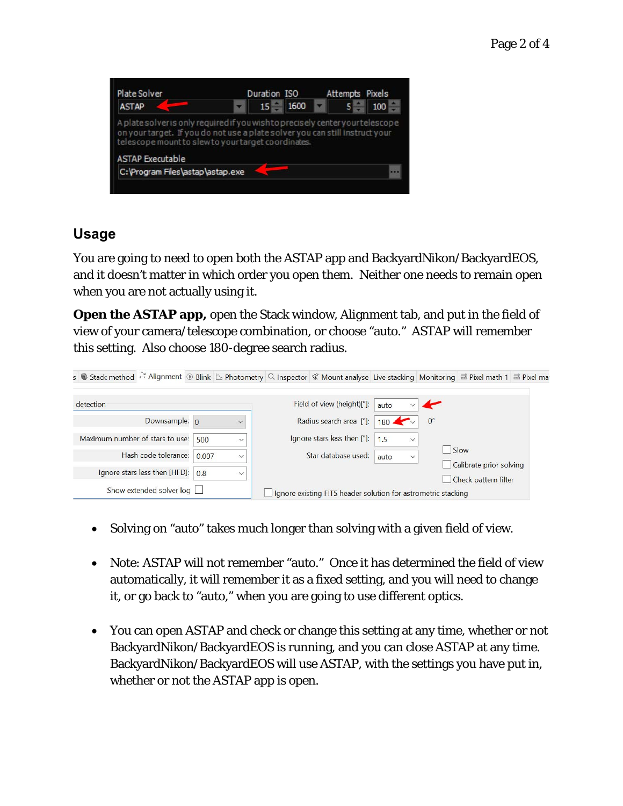| Plate Solver                                                                                                                                                                                                                                     | Duration ISO |      |  |       | Attempts Pixels |  |
|--------------------------------------------------------------------------------------------------------------------------------------------------------------------------------------------------------------------------------------------------|--------------|------|--|-------|-----------------|--|
| <b>ASTAP</b>                                                                                                                                                                                                                                     | 15           | 1600 |  | $5 -$ | 100             |  |
|                                                                                                                                                                                                                                                  |              |      |  |       |                 |  |
|                                                                                                                                                                                                                                                  |              |      |  |       |                 |  |
| A plate solver is only required if you wish to precisely center your telescope<br>on your target. If you do not use a plate solver you can still instruct your<br>telescope mount to slew to your target coordinates.<br><b>ASTAP Executable</b> |              |      |  |       |                 |  |

### **Usage**

You are going to need to open both the ASTAP app and BackyardNikon/BackyardEOS, and it doesn't matter in which order you open them. Neither one needs to remain open when you are not actually using it.

**Open the ASTAP app,** open the Stack window, Alignment tab, and put in the field of view of your camera/telescope combination, or choose "auto." ASTAP will remember this setting. Also choose 180-degree search radius.

| s Stack method <sup>22</sup> Alignment ® Blink L Photometry Q Inspector <i>&lt;</i> Mount analyse Live stacking Monitoring $\equiv$ Pixel math 1 $\equiv$ Pixel mat |       |              |                                                               |                      |             |                                 |  |
|---------------------------------------------------------------------------------------------------------------------------------------------------------------------|-------|--------------|---------------------------------------------------------------|----------------------|-------------|---------------------------------|--|
| detection                                                                                                                                                           |       |              | Field of view (height)[°]:                                    | auto                 |             |                                 |  |
| Downsample: 0                                                                                                                                                       |       | $\checkmark$ | Radius search area [°]:                                       | $180 \sim$           | $0^{\circ}$ |                                 |  |
| Maximum number of stars to use:                                                                                                                                     | 500   | $\checkmark$ | Ignore stars less then ["]:                                   | 1.5<br>$\checkmark$  |             |                                 |  |
| Hash code tolerance:                                                                                                                                                | 0.007 | $\checkmark$ | Star database used:                                           | auto<br>$\checkmark$ |             | Slow<br>Calibrate prior solving |  |
| Ignore stars less then [HFD]:                                                                                                                                       | 0.8   | $\checkmark$ |                                                               |                      |             | Check pattern filter            |  |
| Show extended solver log                                                                                                                                            |       |              | Ignore existing FITS header solution for astrometric stacking |                      |             |                                 |  |

- Solving on "auto" takes much longer than solving with a given field of view.
- Note: ASTAP will not remember "auto." Once it has determined the field of view automatically, it will remember it as a fixed setting, and you will need to change it, or go back to "auto," when you are going to use different optics.
- You can open ASTAP and check or change this setting at any time, whether or not BackyardNikon/BackyardEOS is running, and you can close ASTAP at any time. BackyardNikon/BackyardEOS will use ASTAP, with the settings you have put in, whether or not the ASTAP app is open.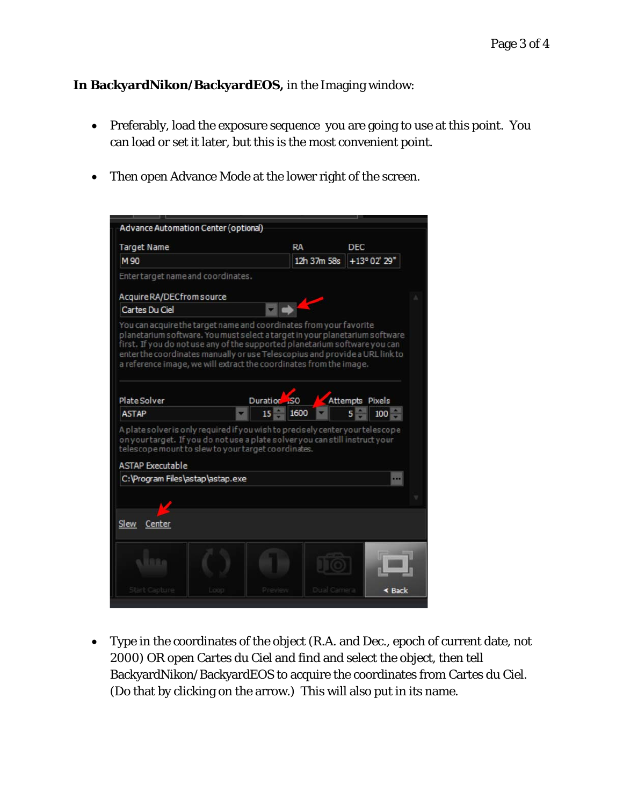**In BackyardNikon/BackyardEOS,** in the Imaging window:

- Preferably, load the exposure sequence you are going to use at this point. You can load or set it later, but this is the most convenient point.
- Then open Advance Mode at the lower right of the screen.

| <b>Target Name</b>                                                                                                  | RA<br><b>DEC</b>                                                                                                                                                                                                                |
|---------------------------------------------------------------------------------------------------------------------|---------------------------------------------------------------------------------------------------------------------------------------------------------------------------------------------------------------------------------|
| M 90                                                                                                                | +13° 02' 29"<br>12h 37m 58s                                                                                                                                                                                                     |
| Enter target name and coordinates.                                                                                  |                                                                                                                                                                                                                                 |
| Acquire RA/DECfrom source                                                                                           |                                                                                                                                                                                                                                 |
| Cartes Du Ciel                                                                                                      |                                                                                                                                                                                                                                 |
|                                                                                                                     | first. If you do not use any of the supported planetarium software you can<br>enter the coordinates manually or use Telescopius and provide a URL link to<br>a reference image, we will extract the coordinates from the image. |
| Plate Solver                                                                                                        | Duration <sub>150</sub><br><b>Attempts Pixels</b>                                                                                                                                                                               |
|                                                                                                                     |                                                                                                                                                                                                                                 |
| <b>ASTAP</b>                                                                                                        | 1600<br>15<br>5<br>100                                                                                                                                                                                                          |
| telescope mount to slew to your target coordinates.<br><b>ASTAP Executable</b><br>C: \Program Files\astap\astap.exe | A plate solver is only required if you wish to precisely center your telescope<br>on your target. If you do not use a plate solver you can still instruct your                                                                  |
| Center                                                                                                              |                                                                                                                                                                                                                                 |
| Slew<br>169a                                                                                                        |                                                                                                                                                                                                                                 |

 Type in the coordinates of the object (R.A. and Dec., epoch of current date, *not* 2000) OR open Cartes du Ciel and find and select the object, then tell BackyardNikon/BackyardEOS to acquire the coordinates from Cartes du Ciel. (Do that by clicking on the arrow.) This will also put in its name.